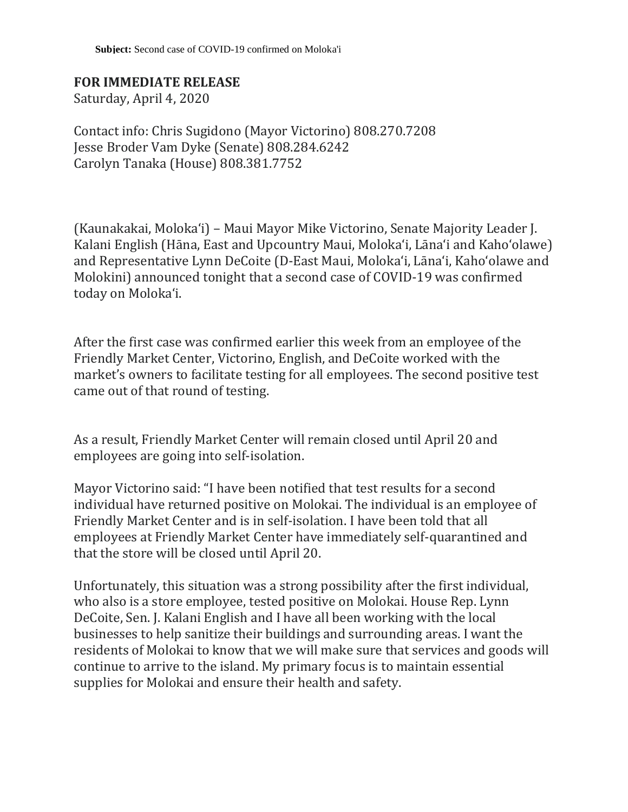## **FOR IMMEDIATE RELEASE**

Saturday, April 4, 2020

Contact info: Chris Sugidono (Mayor Victorino) 808.270.7208 Jesse Broder Vam Dyke (Senate) 808.284.6242 Carolyn Tanaka (House) 808.381.7752

(Kaunakakai, Molokaʻi) – Maui Mayor Mike Victorino, Senate Majority Leader J. Kalani English (Hāna, East and Upcountry Maui, Moloka'i, Lāna'i and Kaho'olawe) and Representative Lynn DeCoite (D-East Maui, Moloka'i, Lānaʻi, Kahoʻolawe and Molokini) announced tonight that a second case of COVID-19 was confirmed today on Moloka'i.

After the first case was confirmed earlier this week from an employee of the Friendly Market Center, Victorino, English, and DeCoite worked with the market's owners to facilitate testing for all employees. The second positive test came out of that round of testing.

As a result, Friendly Market Center will remain closed until April 20 and employees are going into self-isolation.

Mayor Victorino said: "I have been notified that test results for a second individual have returned positive on Molokai. The individual is an employee of Friendly Market Center and is in self-isolation. I have been told that all employees at Friendly Market Center have immediately self-quarantined and that the store will be closed until April 20.

Unfortunately, this situation was a strong possibility after the first individual, who also is a store employee, tested positive on Molokai. House Rep. Lynn DeCoite, Sen. J. Kalani English and I have all been working with the local businesses to help sanitize their buildings and surrounding areas. I want the residents of Molokai to know that we will make sure that services and goods will continue to arrive to the island. My primary focus is to maintain essential supplies for Molokai and ensure their health and safety.